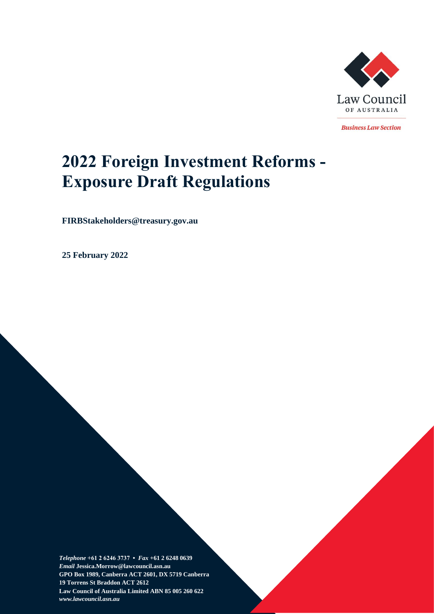

**Business Law Section** 

# **2022 Foreign Investment Reforms - Exposure Draft Regulations**

**FIRBStakeholders@treasury.gov.au**

**25 February 2022**

*Telephone* **+61 2 6246 3737 •** *Fax* **+61 2 6248 0639**  *Email* **Jessica.Morrow@lawcouncil.asn.au GPO Box 1989, Canberra ACT 2601, DX 5719 Canberra 19 Torrens St Braddon ACT 2612 Law Council of Australia Limited ABN 85 005 260 622** *www.lawcouncil.asn.au*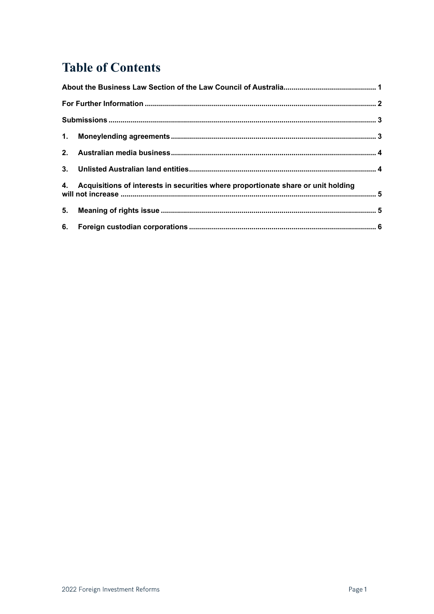## **Table of Contents**

| 4. Acquisitions of interests in securities where proportionate share or unit holding |  |  |  |  |
|--------------------------------------------------------------------------------------|--|--|--|--|
|                                                                                      |  |  |  |  |
|                                                                                      |  |  |  |  |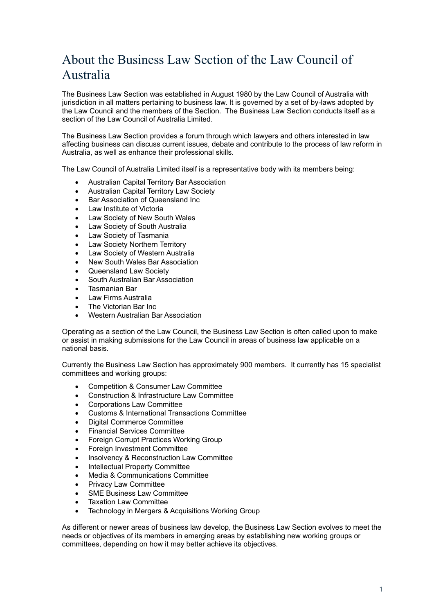## <span id="page-2-0"></span>About the Business Law Section of the Law Council of Australia

The Business Law Section was established in August 1980 by the Law Council of Australia with jurisdiction in all matters pertaining to business law. It is governed by a set of by-laws adopted by the Law Council and the members of the Section. The Business Law Section conducts itself as a section of the Law Council of Australia Limited.

The Business Law Section provides a forum through which lawyers and others interested in law affecting business can discuss current issues, debate and contribute to the process of law reform in Australia, as well as enhance their professional skills.

The Law Council of Australia Limited itself is a representative body with its members being:

- Australian Capital Territory Bar Association
- Australian Capital Territory Law Society
- Bar Association of Queensland Inc
- Law Institute of Victoria
- Law Society of New South Wales
- Law Society of South Australia
- Law Society of Tasmania
- Law Society Northern Territory
- Law Society of Western Australia
- New South Wales Bar Association
- Queensland Law Society
- South Australian Bar Association
- Tasmanian Bar
- Law Firms Australia
- The Victorian Bar Inc
- Western Australian Bar Association

Operating as a section of the Law Council, the Business Law Section is often called upon to make or assist in making submissions for the Law Council in areas of business law applicable on a national basis.

Currently the Business Law Section has approximately 900 members. It currently has 15 specialist committees and working groups:

- Competition & Consumer Law Committee
- Construction & Infrastructure Law Committee
- Corporations Law Committee
- Customs & International Transactions Committee
- Digital Commerce Committee
- Financial Services Committee
- **Foreign Corrupt Practices Working Group**
- Foreign Investment Committee
- Insolvency & Reconstruction Law Committee
- Intellectual Property Committee
- Media & Communications Committee
- Privacy Law Committee
- SME Business Law Committee
- **Taxation Law Committee**
- Technology in Mergers & Acquisitions Working Group

As different or newer areas of business law develop, the Business Law Section evolves to meet the needs or objectives of its members in emerging areas by establishing new working groups or committees, depending on how it may better achieve its objectives.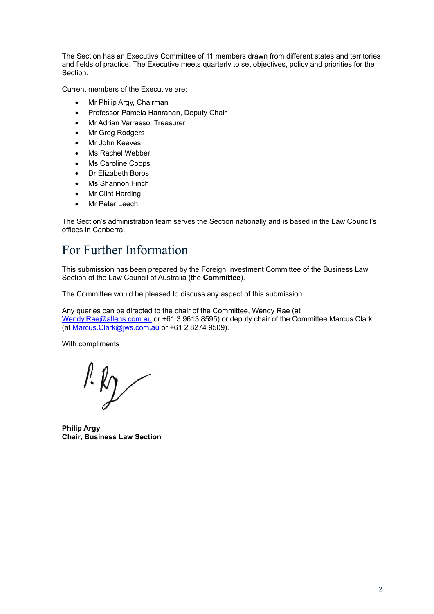The Section has an Executive Committee of 11 members drawn from different states and territories and fields of practice. The Executive meets quarterly to set objectives, policy and priorities for the Section.

Current members of the Executive are:

- Mr Philip Argy, Chairman
- Professor Pamela Hanrahan, Deputy Chair
- Mr Adrian Varrasso, Treasurer
- Mr Greg Rodgers
- Mr John Keeves
- Ms Rachel Webber
- Ms Caroline Coops
- Dr Elizabeth Boros
- Ms Shannon Finch
- Mr Clint Harding
- Mr Peter Leech

The Section's administration team serves the Section nationally and is based in the Law Council's offices in Canberra.

## <span id="page-3-0"></span>For Further Information

This submission has been prepared by the Foreign Investment Committee of the Business Law Section of the Law Council of Australia (the **Committee**).

The Committee would be pleased to discuss any aspect of this submission.

Any queries can be directed to the chair of the Committee, Wendy Rae (at [Wendy.Rae@allens.com.au](mailto:Wendy.Rae@allens.com.au) or +61 3 9613 8595) or deputy chair of the Committee Marcus Clark (at [Marcus.Clark@jws.com.au](mailto:Marcus.Clark@jws.com.au) or +61 2 8274 9509).

With compliments

 $lk$ 

**Philip Argy Chair, Business Law Section**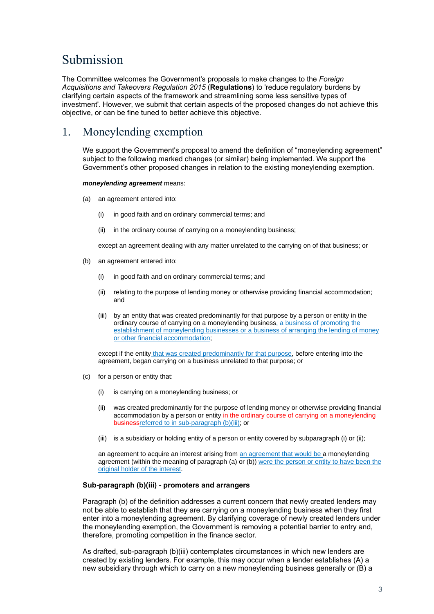## <span id="page-4-0"></span>Submission

The Committee welcomes the Government's proposals to make changes to the *Foreign Acquisitions and Takeovers Regulation 2015* (**Regulations**) to 'reduce regulatory burdens by clarifying certain aspects of the framework and streamlining some less sensitive types of investment'. However, we submit that certain aspects of the proposed changes do not achieve this objective, or can be fine tuned to better achieve this objective.

## <span id="page-4-1"></span>1. Moneylending exemption

We support the Government's proposal to amend the definition of "moneylending agreement" subject to the following marked changes (or similar) being implemented. We support the Government's other proposed changes in relation to the existing moneylending exemption.

### *moneylending agreement* means:

- (a) an agreement entered into:
	- (i) in good faith and on ordinary commercial terms; and
	- (ii) in the ordinary course of carrying on a moneylending business;

except an agreement dealing with any matter unrelated to the carrying on of that business; or

- (b) an agreement entered into:
	- (i) in good faith and on ordinary commercial terms; and
	- (ii) relating to the purpose of lending money or otherwise providing financial accommodation; and
	- (iii) by an entity that was created predominantly for that purpose by a person or entity in the ordinary course of carrying on a moneylending business, a business of promoting the establishment of moneylending businesses or a business of arranging the lending of money or other financial accommodation;

except if the entity that was created predominantly for that purpose, before entering into the agreement, began carrying on a business unrelated to that purpose; or

- (c) for a person or entity that:
	- (i) is carrying on a moneylending business; or
	- (ii) was created predominantly for the purpose of lending money or otherwise providing financial accommodation by a person or entity in the ordinary course of carrying on a business referred to in sub-paragraph (b)(iii); or
	- (iii) is a subsidiary or holding entity of a person or entity covered by subparagraph (i) or (ii);

an agreement to acquire an interest arising from an agreement that would be a moneylending agreement (within the meaning of paragraph (a) or (b)) were the person or entity to have been the original holder of the interest.

### **Sub-paragraph (b)(iii) - promoters and arrangers**

Paragraph (b) of the definition addresses a current concern that newly created lenders may not be able to establish that they are carrying on a moneylending business when they first enter into a moneylending agreement. By clarifying coverage of newly created lenders under the moneylending exemption, the Government is removing a potential barrier to entry and, therefore, promoting competition in the finance sector.

As drafted, sub-paragraph (b)(iii) contemplates circumstances in which new lenders are created by existing lenders. For example, this may occur when a lender establishes (A) a new subsidiary through which to carry on a new moneylending business generally or (B) a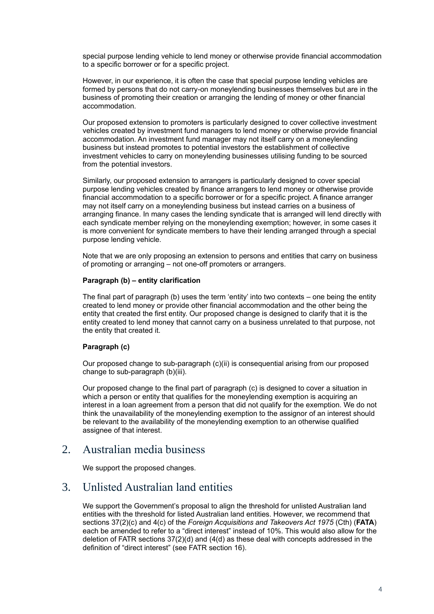special purpose lending vehicle to lend money or otherwise provide financial accommodation to a specific borrower or for a specific project.

However, in our experience, it is often the case that special purpose lending vehicles are formed by persons that do not carry-on moneylending businesses themselves but are in the business of promoting their creation or arranging the lending of money or other financial accommodation.

Our proposed extension to promoters is particularly designed to cover collective investment vehicles created by investment fund managers to lend money or otherwise provide financial accommodation. An investment fund manager may not itself carry on a moneylending business but instead promotes to potential investors the establishment of collective investment vehicles to carry on moneylending businesses utilising funding to be sourced from the potential investors.

Similarly, our proposed extension to arrangers is particularly designed to cover special purpose lending vehicles created by finance arrangers to lend money or otherwise provide financial accommodation to a specific borrower or for a specific project. A finance arranger may not itself carry on a moneylending business but instead carries on a business of arranging finance. In many cases the lending syndicate that is arranged will lend directly with each syndicate member relying on the moneylending exemption; however, in some cases it is more convenient for syndicate members to have their lending arranged through a special purpose lending vehicle.

Note that we are only proposing an extension to persons and entities that carry on business of promoting or arranging – not one-off promoters or arrangers.

### **Paragraph (b) – entity clarification**

The final part of paragraph (b) uses the term 'entity' into two contexts – one being the entity created to lend money or provide other financial accommodation and the other being the entity that created the first entity. Our proposed change is designed to clarify that it is the entity created to lend money that cannot carry on a business unrelated to that purpose, not the entity that created it.

### **Paragraph (c)**

Our proposed change to sub-paragraph (c)(ii) is consequential arising from our proposed change to sub-paragraph (b)(iii).

Our proposed change to the final part of paragraph (c) is designed to cover a situation in which a person or entity that qualifies for the moneylending exemption is acquiring an interest in a loan agreement from a person that did not qualify for the exemption. We do not think the unavailability of the moneylending exemption to the assignor of an interest should be relevant to the availability of the moneylending exemption to an otherwise qualified assignee of that interest.

### <span id="page-5-0"></span>2. Australian media business

We support the proposed changes.

### <span id="page-5-1"></span>3. Unlisted Australian land entities

We support the Government's proposal to align the threshold for unlisted Australian land entities with the threshold for listed Australian land entities. However, we recommend that sections 37(2)(c) and 4(c) of the *Foreign Acquisitions and Takeovers Act 1975* (Cth) (**FATA**) each be amended to refer to a "direct interest" instead of 10%. This would also allow for the deletion of FATR sections 37(2)(d) and (4(d) as these deal with concepts addressed in the definition of "direct interest" (see FATR section 16).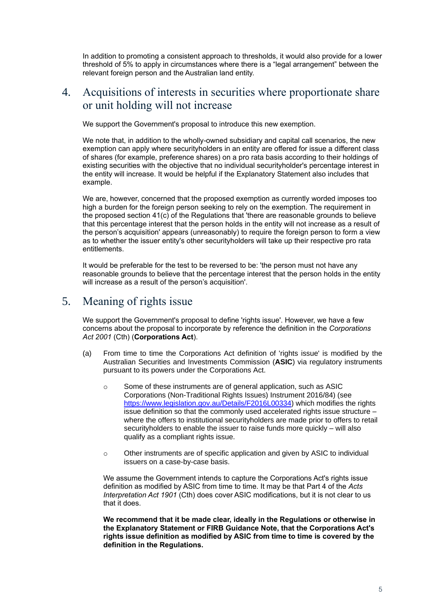In addition to promoting a consistent approach to thresholds, it would also provide for a lower threshold of 5% to apply in circumstances where there is a "legal arrangement" between the relevant foreign person and the Australian land entity.

## <span id="page-6-0"></span>4. Acquisitions of interests in securities where proportionate share or unit holding will not increase

We support the Government's proposal to introduce this new exemption.

We note that, in addition to the wholly-owned subsidiary and capital call scenarios, the new exemption can apply where securityholders in an entity are offered for issue a different class of shares (for example, preference shares) on a pro rata basis according to their holdings of existing securities with the objective that no individual securityholder's percentage interest in the entity will increase. It would be helpful if the Explanatory Statement also includes that example.

We are, however, concerned that the proposed exemption as currently worded imposes too high a burden for the foreign person seeking to rely on the exemption. The requirement in the proposed section 41(c) of the Regulations that 'there are reasonable grounds to believe that this percentage interest that the person holds in the entity will not increase as a result of the person's acquisition' appears (unreasonably) to require the foreign person to form a view as to whether the issuer entity's other securityholders will take up their respective pro rata entitlements.

It would be preferable for the test to be reversed to be: 'the person must not have any reasonable grounds to believe that the percentage interest that the person holds in the entity will increase as a result of the person's acquisition'.

## <span id="page-6-1"></span>5. Meaning of rights issue

We support the Government's proposal to define 'rights issue'. However, we have a few concerns about the proposal to incorporate by reference the definition in the *Corporations Act 2001* (Cth) (**Corporations Act**).

- (a) From time to time the Corporations Act definition of 'rights issue' is modified by the Australian Securities and Investments Commission (**ASIC**) via regulatory instruments pursuant to its powers under the Corporations Act.
	- o Some of these instruments are of general application, such as ASIC Corporations (Non-Traditional Rights Issues) Instrument 2016/84) (see [https://www.legislation.gov.au/Details/F2016L00334\)](https://www.legislation.gov.au/Details/F2016L00334) which modifies the rights issue definition so that the commonly used accelerated rights issue structure – where the offers to institutional securityholders are made prior to offers to retail securityholders to enable the issuer to raise funds more quickly – will also qualify as a compliant rights issue.
	- $\circ$  Other instruments are of specific application and given by ASIC to individual issuers on a case-by-case basis.

We assume the Government intends to capture the Corporations Act's rights issue definition as modified by ASIC from time to time. It may be that Part 4 of the *Acts Interpretation Act 1901* (Cth) does cover ASIC modifications, but it is not clear to us that it does.

**We recommend that it be made clear, ideally in the Regulations or otherwise in the Explanatory Statement or FIRB Guidance Note, that the Corporations Act's rights issue definition as modified by ASIC from time to time is covered by the definition in the Regulations.**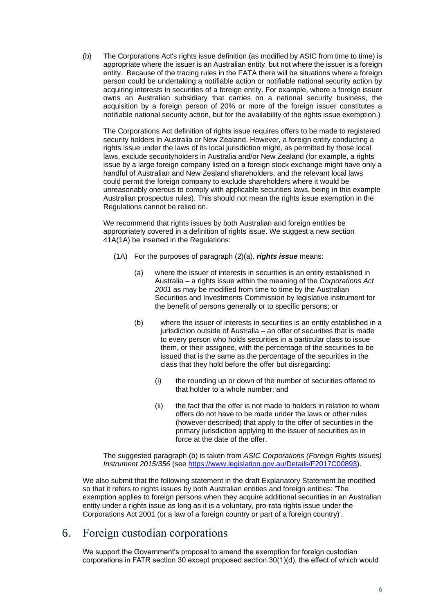(b) The Corporations Act's rights issue definition (as modified by ASIC from time to time) is appropriate where the issuer is an Australian entity, but not where the issuer is a foreign entity. Because of the tracing rules in the FATA there will be situations where a foreign person could be undertaking a notifiable action or notifiable national security action by acquiring interests in securities of a foreign entity. For example, where a foreign issuer owns an Australian subsidiary that carries on a national security business, the acquisition by a foreign person of 20% or more of the foreign issuer constitutes a notifiable national security action, but for the availability of the rights issue exemption.)

The Corporations Act definition of rights issue requires offers to be made to registered security holders in Australia or New Zealand. However, a foreign entity conducting a rights issue under the laws of its local jurisdiction might, as permitted by those local laws, exclude securityholders in Australia and/or New Zealand (for example, a rights issue by a large foreign company listed on a foreign stock exchange might have only a handful of Australian and New Zealand shareholders, and the relevant local laws could permit the foreign company to exclude shareholders where it would be unreasonably onerous to comply with applicable securities laws, being in this example Australian prospectus rules). This should not mean the rights issue exemption in the Regulations cannot be relied on.

We recommend that rights issues by both Australian and foreign entities be appropriately covered in a definition of rights issue. We suggest a new section 41A(1A) be inserted in the Regulations:

- (1A) For the purposes of paragraph (2)(a), *rights issue* means:
	- (a) where the issuer of interests in securities is an entity established in Australia – a rights issue within the meaning of the *Corporations Act 2001* as may be modified from time to time by the Australian Securities and Investments Commission by legislative instrument for the benefit of persons generally or to specific persons; or
	- (b) where the issuer of interests in securities is an entity established in a jurisdiction outside of Australia – an offer of securities that is made to every person who holds securities in a particular class to issue them, or their assignee, with the percentage of the securities to be issued that is the same as the percentage of the securities in the class that they hold before the offer but disregarding:
		- (i) the rounding up or down of the number of securities offered to that holder to a whole number; and
		- (ii) the fact that the offer is not made to holders in relation to whom offers do not have to be made under the laws or other rules (however described) that apply to the offer of securities in the primary jurisdiction applying to the issuer of securities as in force at the date of the offer.

The suggested paragraph (b) is taken from *ASIC Corporations (Foreign Rights Issues) Instrument 2015/356* (see [https://www.legislation.gov.au/Details/F2017C00893\)](https://www.legislation.gov.au/Details/F2017C00893).

We also submit that the following statement in the draft Explanatory Statement be modified so that it refers to rights issues by both Australian entities and foreign entities: 'The exemption applies to foreign persons when they acquire additional securities in an Australian entity under a rights issue as long as it is a voluntary, pro-rata rights issue under the Corporations Act 2001 (or a law of a foreign country or part of a foreign country)'.

## <span id="page-7-0"></span>6. Foreign custodian corporations

We support the Government's proposal to amend the exemption for foreign custodian corporations in FATR section 30 except proposed section 30(1)(d), the effect of which would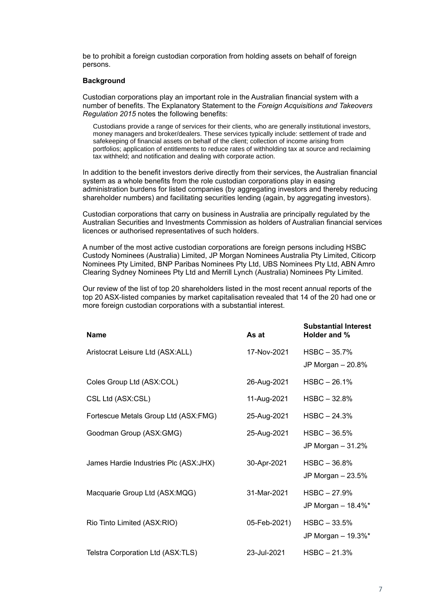be to prohibit a foreign custodian corporation from holding assets on behalf of foreign persons.

#### **Background**

Custodian corporations play an important role in the Australian financial system with a number of benefits. The Explanatory Statement to the *Foreign Acquisitions and Takeovers Regulation 2015* notes the following benefits:

Custodians provide a range of services for their clients, who are generally institutional investors, money managers and broker/dealers. These services typically include: settlement of trade and safekeeping of financial assets on behalf of the client; collection of income arising from portfolios; application of entitlements to reduce rates of withholding tax at source and reclaiming tax withheld; and notification and dealing with corporate action.

In addition to the benefit investors derive directly from their services, the Australian financial system as a whole benefits from the role custodian corporations play in easing administration burdens for listed companies (by aggregating investors and thereby reducing shareholder numbers) and facilitating securities lending (again, by aggregating investors).

Custodian corporations that carry on business in Australia are principally regulated by the Australian Securities and Investments Commission as holders of Australian financial services licences or authorised representatives of such holders.

A number of the most active custodian corporations are foreign persons including HSBC Custody Nominees (Australia) Limited, JP Morgan Nominees Australia Pty Limited, Citicorp Nominees Pty Limited, BNP Paribas Nominees Pty Ltd, UBS Nominees Pty Ltd, ABN Amro Clearing Sydney Nominees Pty Ltd and Merrill Lynch (Australia) Nominees Pty Limited.

Our review of the list of top 20 shareholders listed in the most recent annual reports of the top 20 ASX-listed companies by market capitalisation revealed that 14 of the 20 had one or more foreign custodian corporations with a substantial interest.

| <b>Name</b>                           | As at        | <b>Substantial Interest</b><br>Holder and % |
|---------------------------------------|--------------|---------------------------------------------|
| Aristocrat Leisure Ltd (ASX:ALL)      | 17-Nov-2021  | HSBC-35.7%<br>JP Morgan - 20.8%             |
| Coles Group Ltd (ASX:COL)             | 26-Aug-2021  | $HSBC - 26.1%$                              |
| CSL Ltd (ASX:CSL)                     | 11-Aug-2021  | $HSBC - 32.8%$                              |
| Fortescue Metals Group Ltd (ASX:FMG)  | 25-Aug-2021  | $HSBC - 24.3%$                              |
| Goodman Group (ASX:GMG)               | 25-Aug-2021  | $HSBC - 36.5%$<br>JP Morgan $-31.2%$        |
| James Hardie Industries Plc (ASX:JHX) | 30-Apr-2021  | $HSBC - 36.8%$<br>JP Morgan $-23.5%$        |
| Macquarie Group Ltd (ASX:MQG)         | 31-Mar-2021  | $HSBC - 27.9%$<br>JP Morgan - 18.4%*        |
| Rio Tinto Limited (ASX:RIO)           | 05-Feb-2021) | $HSBC - 33.5%$<br>JP Morgan - 19.3%*        |
| Telstra Corporation Ltd (ASX:TLS)     | 23-Jul-2021  | $HSBC - 21.3%$                              |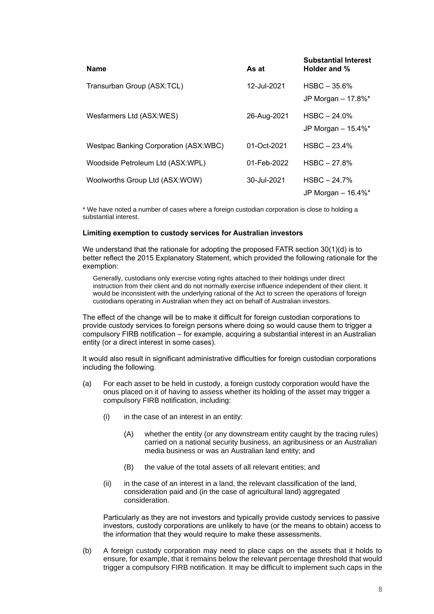| <b>Name</b>                           | As at       | <b>Substantial Interest</b><br>Holder and %        |
|---------------------------------------|-------------|----------------------------------------------------|
| Transurban Group (ASX:TCL)            | 12-Jul-2021 | $HSBC - 35.6%$<br>JP Morgan $-17.8\%$ <sup>*</sup> |
| Wesfarmers Ltd (ASX:WES)              | 26-Aug-2021 | $HSBC - 24.0%$<br>JP Morgan $-15.4\%$ *            |
| Westpac Banking Corporation (ASX:WBC) | 01-Oct-2021 | $HSBC - 23.4%$                                     |
| Woodside Petroleum Ltd (ASX:WPL)      | 01-Feb-2022 | $HSBC - 27.8%$                                     |
| Woolworths Group Ltd (ASX:WOW)        | 30-Jul-2021 | $HSBC - 24.7%$<br>JP Morgan $-$ 16.4%*             |

\* We have noted a number of cases where a foreign custodian corporation is close to holding a substantial interest.

### **Limiting exemption to custody services for Australian investors**

We understand that the rationale for adopting the proposed FATR section 30(1)(d) is to better reflect the 2015 Explanatory Statement, which provided the following rationale for the exemption:

Generally, custodians only exercise voting rights attached to their holdings under direct instruction from their client and do not normally exercise influence independent of their client. It would be inconsistent with the underlying rational of the Act to screen the operations of foreign custodians operating in Australian when they act on behalf of Australian investors.

The effect of the change will be to make it difficult for foreign custodian corporations to provide custody services to foreign persons where doing so would cause them to trigger a compulsory FIRB notification – for example, acquiring a substantial interest in an Australian entity (or a direct interest in some cases).

It would also result in significant administrative difficulties for foreign custodian corporations including the following.

- (a) For each asset to be held in custody, a foreign custody corporation would have the onus placed on it of having to assess whether its holding of the asset may trigger a compulsory FIRB notification, including:
	- $(i)$  in the case of an interest in an entity:
		- (A) whether the entity (or any downstream entity caught by the tracing rules) carried on a national security business, an agribusiness or an Australian media business or was an Australian land entity; and
		- (B) the value of the total assets of all relevant entities; and
	- (ii) in the case of an interest in a land, the relevant classification of the land, consideration paid and (in the case of agricultural land) aggregated consideration.

Particularly as they are not investors and typically provide custody services to passive investors, custody corporations are unlikely to have (or the means to obtain) access to the information that they would require to make these assessments.

(b) A foreign custody corporation may need to place caps on the assets that it holds to ensure, for example, that it remains below the relevant percentage threshold that would trigger a compulsory FIRB notification. It may be difficult to implement such caps in the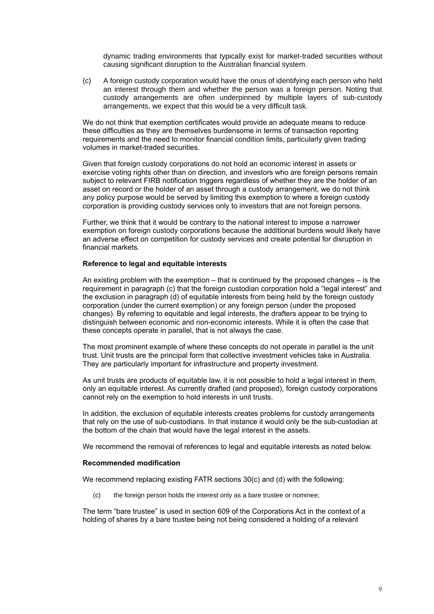dynamic trading environments that typically exist for market-traded securities without causing significant disruption to the Australian financial system.

(c) A foreign custody corporation would have the onus of identifying each person who held an interest through them and whether the person was a foreign person. Noting that custody arrangements are often underpinned by multiple layers of sub-custody arrangements, we expect that this would be a very difficult task.

We do not think that exemption certificates would provide an adequate means to reduce these difficulties as they are themselves burdensome in terms of transaction reporting requirements and the need to monitor financial condition limits, particularly given trading volumes in market-traded securities.

Given that foreign custody corporations do not hold an economic interest in assets or exercise voting rights other than on direction, and investors who are foreign persons remain subject to relevant FIRB notification triggers regardless of whether they are the holder of an asset on record or the holder of an asset through a custody arrangement, we do not think any policy purpose would be served by limiting this exemption to where a foreign custody corporation is providing custody services only to investors that are not foreign persons.

Further, we think that it would be contrary to the national interest to impose a narrower exemption on foreign custody corporations because the additional burdens would likely have an adverse effect on competition for custody services and create potential for disruption in financial markets.

#### **Reference to legal and equitable interests**

An existing problem with the exemption – that is continued by the proposed changes – is the requirement in paragraph (c) that the foreign custodian corporation hold a "legal interest" and the exclusion in paragraph (d) of equitable interests from being held by the foreign custody corporation (under the current exemption) or any foreign person (under the proposed changes). By referring to equitable and legal interests, the drafters appear to be trying to distinguish between economic and non-economic interests. While it is often the case that these concepts operate in parallel, that is not always the case.

The most prominent example of where these concepts do not operate in parallel is the unit trust. Unit trusts are the principal form that collective investment vehicles take in Australia. They are particularly important for infrastructure and property investment.

As unit trusts are products of equitable law, it is not possible to hold a legal interest in them, only an equitable interest. As currently drafted (and proposed), foreign custody corporations cannot rely on the exemption to hold interests in unit trusts.

In addition, the exclusion of equitable interests creates problems for custody arrangements that rely on the use of sub-custodians. In that instance it would only be the sub-custodian at the bottom of the chain that would have the legal interest in the assets.

We recommend the removal of references to legal and equitable interests as noted below.

### **Recommended modification**

We recommend replacing existing FATR sections 30(c) and (d) with the following:

(c) the foreign person holds the interest only as a bare trustee or nominee;

The term "bare trustee" is used in section 609 of the Corporations Act in the context of a holding of shares by a bare trustee being not being considered a holding of a relevant